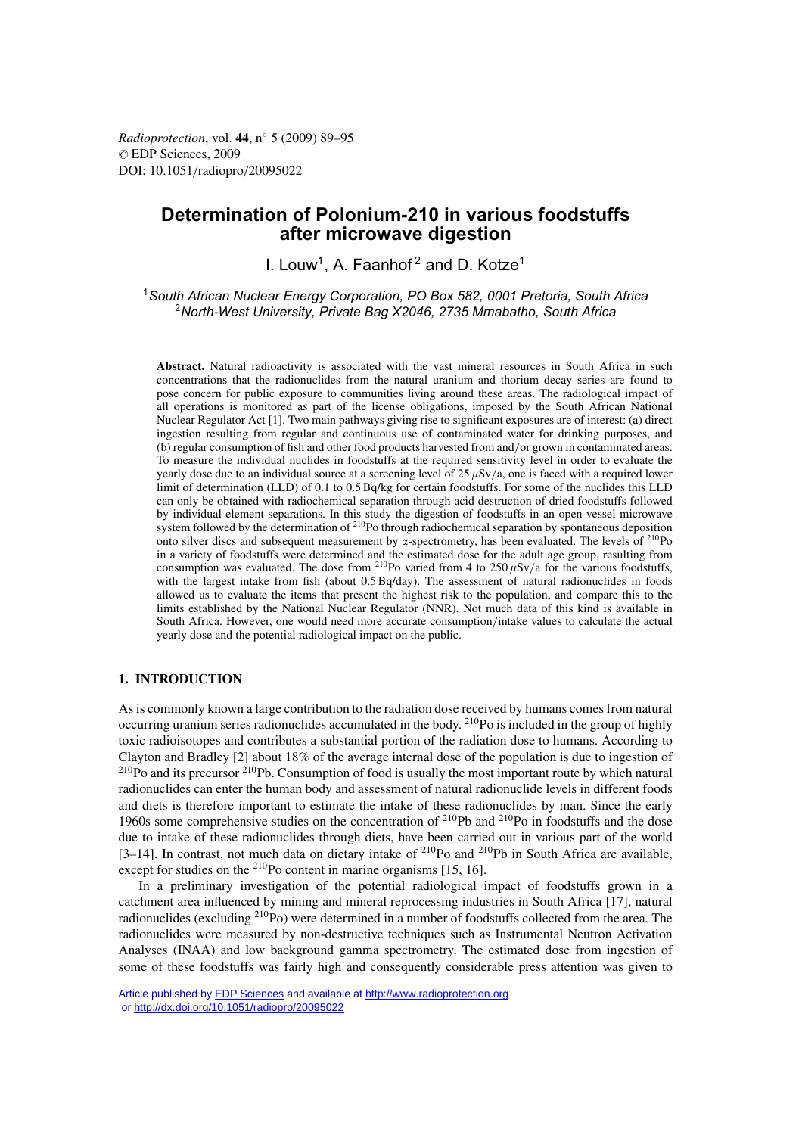*Radioprotection*, vol. **44**, n◦ 5 (2009) 89–95 © EDP Sciences, 2009 DOI: 10.1051/radiopro/20095022

# **Determination of Polonium-210 in various foodstuffs after microwave digestion**

I. Louw<sup>1</sup>, A. Faanhof<sup>2</sup> and D. Kotze<sup>1</sup>

<sup>1</sup> South African Nuclear Energy Corporation, PO Box 582, 0001 Pretoria, South Africa *South African Nuclear Energy Corporation, PO Box 582, 0001 Pretoria, South Africa* 2*North-West University, Private Bag X2046, 2735 Mmabatho, South Africa*

**Abstract.** Natural radioactivity is associated with the vast mineral resources in South Africa in such concentrations that the radionuclides from the natural uranium and thorium decay series are found to pose concern for public exposure to communities living around these areas. The radiological impact of all operations is monitored as part of the license obligations, imposed by the South African National Nuclear Regulator Act [1]. Two main pathways giving rise to significant exposures are of interest: (a) direct ingestion resulting from regular and continuous use of contaminated water for drinking purposes, and (b) regular consumption of fish and other food products harvested from and/or grown in contaminated areas. To measure the individual nuclides in foodstuffs at the required sensitivity level in order to evaluate the yearly dose due to an individual source at a screening level of  $25 \mu Sv/a$ , one is faced with a required lower limit of determination (LLD) of 0.1 to 0.5 Bq/kg for certain foodstuffs. For some of the nuclides this LLD can only be obtained with radiochemical separation through acid destruction of dried foodstuffs followed by individual element separations. In this study the digestion of foodstuffs in an open-vessel microwave system followed by the determination of <sup>210</sup>Po through radiochemical separation by spontaneous deposition onto silver discs and subsequent measurement by  $\alpha$ -spectrometry, has been evaluated. The levels of <sup>210</sup>Po in a variety of foodstuffs were determined and the estimated dose for the adult age group, resulting from consumption was evaluated. The dose from <sup>210</sup>Po varied from 4 to 250  $\mu$ Sv/a for the various foodstuffs, with the largest intake from fish (about 0.5 Bq/day). The assessment of natural radionuclides in foods allowed us to evaluate the items that present the highest risk to the population, and compare this to the limits established by the National Nuclear Regulator (NNR). Not much data of this kind is available in South Africa. However, one would need more accurate consumption/intake values to calculate the actual yearly dose and the potential radiological impact on the public.

# **1. INTRODUCTION**

As is commonly known a large contribution to the radiation dose received by humans comes from natural occurring uranium series radionuclides accumulated in the body.  $^{210}Po$  is included in the group of highly toxic radioisotopes and contributes a substantial portion of the radiation dose to humans. According to Clayton and Bradley [2] about 18% of the average internal dose of the population is due to ingestion of <sup>210</sup>Po and its precursor <sup>210</sup>Pb. Consumption of food is usually the most important route by which natural radionuclides can enter the human body and assessment of natural radionuclide levels in different foods and diets is therefore important to estimate the intake of these radionuclides by man. Since the early 1960s some comprehensive studies on the concentration of <sup>210</sup>Pb and <sup>210</sup>Po in foodstuffs and the dose due to intake of these radionuclides through diets, have been carried out in various part of the world [3–14]. In contrast, not much data on dietary intake of  $^{210}$ Po and  $^{210}$ Pb in South Africa are available, except for studies on the <sup>210</sup>Po content in marine organisms [15, 16].

In a preliminary investigation of the potential radiological impact of foodstuffs grown in a catchment area influenced by mining and mineral reprocessing industries in South Africa [17], natural radionuclides (excluding 210Po) were determined in a number of foodstuffs collected from the area. The radionuclides were measured by non-destructive techniques such as Instrumental Neutron Activation Analyses (INAA) and low background gamma spectrometry. The estimated dose from ingestion of some of these foodstuffs was fairly high and consequently considerable press attention was given to

Article published by [EDP Sciences](http://www.edpsciences.org) and available at<http://www.radioprotection.org> or <http://dx.doi.org/10.1051/radiopro/20095022>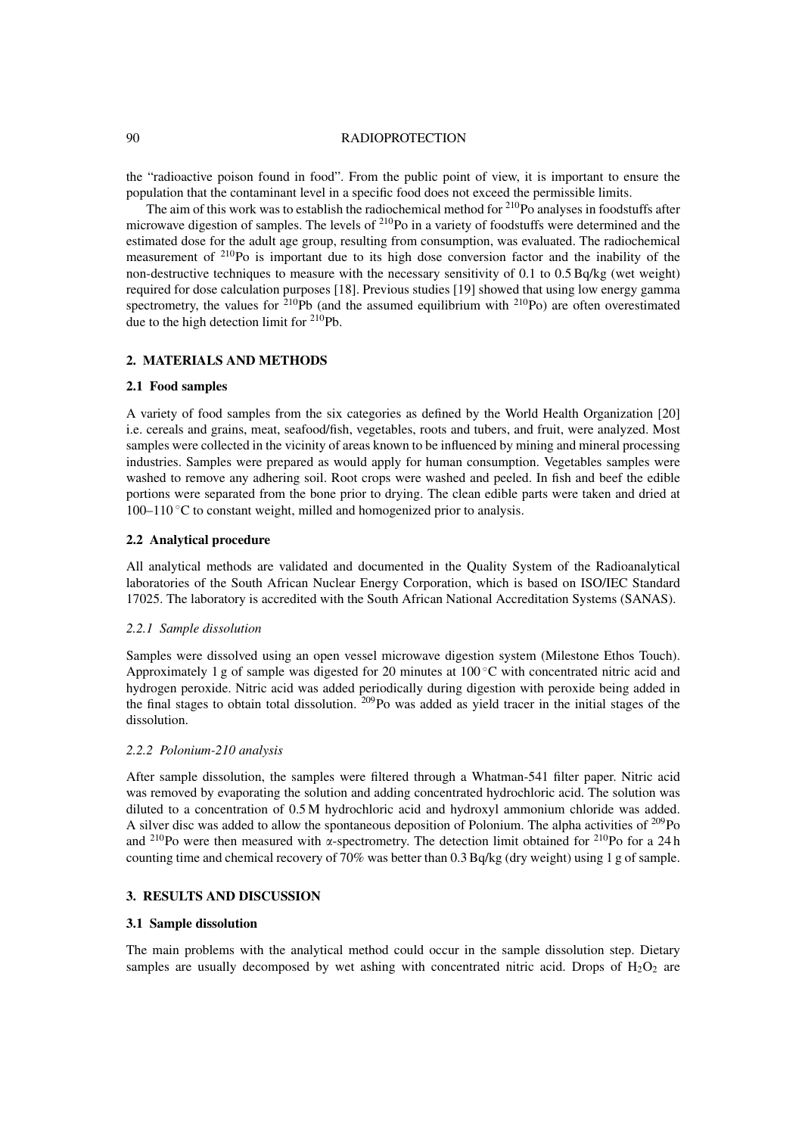#### 90 RADIOPROTECTION

the "radioactive poison found in food". From the public point of view, it is important to ensure the population that the contaminant level in a specific food does not exceed the permissible limits.

The aim of this work was to establish the radiochemical method for  $2^{10}$ Po analyses in foodstuffs after microwave digestion of samples. The levels of 210Po in a variety of foodstuffs were determined and the estimated dose for the adult age group, resulting from consumption, was evaluated. The radiochemical measurement of 210Po is important due to its high dose conversion factor and the inability of the non-destructive techniques to measure with the necessary sensitivity of 0.1 to 0.5 Bq/kg (wet weight) required for dose calculation purposes [18]. Previous studies [19] showed that using low energy gamma spectrometry, the values for  $2^{10}Pb$  (and the assumed equilibrium with  $2^{10}Po$ ) are often overestimated due to the high detection limit for 210Pb.

# **2. MATERIALS AND METHODS**

#### **2.1 Food samples**

A variety of food samples from the six categories as defined by the World Health Organization [20] i.e. cereals and grains, meat, seafood/fish, vegetables, roots and tubers, and fruit, were analyzed. Most samples were collected in the vicinity of areas known to be influenced by mining and mineral processing industries. Samples were prepared as would apply for human consumption. Vegetables samples were washed to remove any adhering soil. Root crops were washed and peeled. In fish and beef the edible portions were separated from the bone prior to drying. The clean edible parts were taken and dried at  $100-110$  °C to constant weight, milled and homogenized prior to analysis.

## **2.2 Analytical procedure**

All analytical methods are validated and documented in the Quality System of the Radioanalytical laboratories of the South African Nuclear Energy Corporation, which is based on ISO/IEC Standard 17025. The laboratory is accredited with the South African National Accreditation Systems (SANAS).

## *2.2.1 Sample dissolution*

Samples were dissolved using an open vessel microwave digestion system (Milestone Ethos Touch). Approximately 1 g of sample was digested for 20 minutes at  $100^{\circ}$ C with concentrated nitric acid and hydrogen peroxide. Nitric acid was added periodically during digestion with peroxide being added in the final stages to obtain total dissolution. 209Po was added as yield tracer in the initial stages of the dissolution.

#### *2.2.2 Polonium-210 analysis*

After sample dissolution, the samples were filtered through a Whatman-541 filter paper. Nitric acid was removed by evaporating the solution and adding concentrated hydrochloric acid. The solution was diluted to a concentration of 0.5 M hydrochloric acid and hydroxyl ammonium chloride was added. A silver disc was added to allow the spontaneous deposition of Polonium. The alpha activities of  $^{209}Po$ and <sup>210</sup>Po were then measured with  $\alpha$ -spectrometry. The detection limit obtained for <sup>210</sup>Po for a 24 h counting time and chemical recovery of 70% was better than 0.3 Bq/kg (dry weight) using 1 g of sample.

# **3. RESULTS AND DISCUSSION**

## **3.1 Sample dissolution**

The main problems with the analytical method could occur in the sample dissolution step. Dietary samples are usually decomposed by wet ashing with concentrated nitric acid. Drops of  $H_2O_2$  are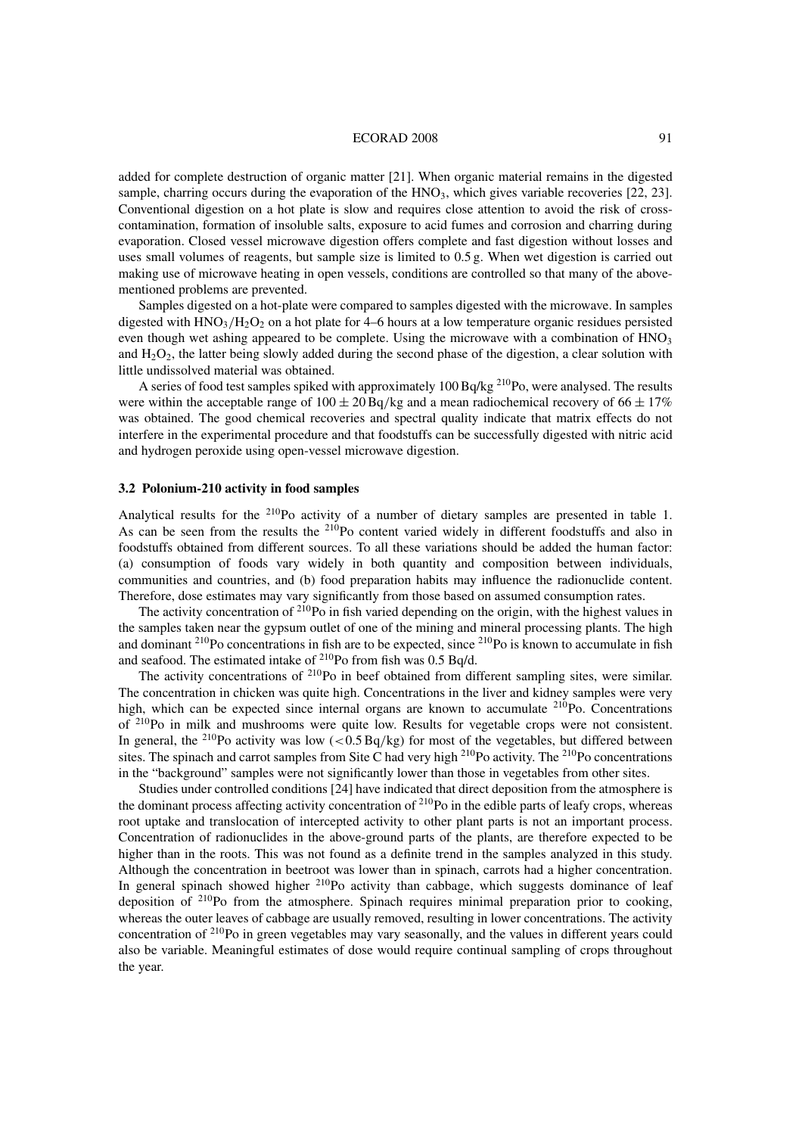#### ECORAD 2008 91

added for complete destruction of organic matter [21]. When organic material remains in the digested sample, charring occurs during the evaporation of the  $HNO<sub>3</sub>$ , which gives variable recoveries [22, 23]. Conventional digestion on a hot plate is slow and requires close attention to avoid the risk of crosscontamination, formation of insoluble salts, exposure to acid fumes and corrosion and charring during evaporation. Closed vessel microwave digestion offers complete and fast digestion without losses and uses small volumes of reagents, but sample size is limited to 0.5 g. When wet digestion is carried out making use of microwave heating in open vessels, conditions are controlled so that many of the abovementioned problems are prevented.

Samples digested on a hot-plate were compared to samples digested with the microwave. In samples digested with  $HNO<sub>3</sub>/H<sub>2</sub>O<sub>2</sub>$  on a hot plate for 4–6 hours at a low temperature organic residues persisted even though wet ashing appeared to be complete. Using the microwave with a combination of  $HNO<sub>3</sub>$ and  $H_2O_2$ , the latter being slowly added during the second phase of the digestion, a clear solution with little undissolved material was obtained.

A series of food test samples spiked with approximately 100 Bq/kg<sup>210</sup>Po, were analysed. The results were within the acceptable range of  $100 \pm 20$  Bq/kg and a mean radiochemical recovery of  $66 \pm 17\%$ was obtained. The good chemical recoveries and spectral quality indicate that matrix effects do not interfere in the experimental procedure and that foodstuffs can be successfully digested with nitric acid and hydrogen peroxide using open-vessel microwave digestion.

#### **3.2 Polonium-210 activity in food samples**

Analytical results for the 210Po activity of a number of dietary samples are presented in table 1. As can be seen from the results the <sup>210</sup>Po content varied widely in different foodstuffs and also in foodstuffs obtained from different sources. To all these variations should be added the human factor: (a) consumption of foods vary widely in both quantity and composition between individuals, communities and countries, and (b) food preparation habits may influence the radionuclide content. Therefore, dose estimates may vary significantly from those based on assumed consumption rates.

The activity concentration of  $2^{10}Po$  in fish varied depending on the origin, with the highest values in the samples taken near the gypsum outlet of one of the mining and mineral processing plants. The high and dominant <sup>210</sup>Po concentrations in fish are to be expected, since <sup>210</sup>Po is known to accumulate in fish and seafood. The estimated intake of 210Po from fish was 0.5 Bq/d.

The activity concentrations of <sup>210</sup>Po in beef obtained from different sampling sites, were similar. The concentration in chicken was quite high. Concentrations in the liver and kidney samples were very high, which can be expected since internal organs are known to accumulate  $2^{10}$ Po. Concentrations of 210Po in milk and mushrooms were quite low. Results for vegetable crops were not consistent. In general, the <sup>210</sup>Po activity was low  $(< 0.5 Bq/kg$ ) for most of the vegetables, but differed between sites. The spinach and carrot samples from Site C had very high  $^{210}Po$  activity. The  $^{210}Po$  concentrations in the "background" samples were not significantly lower than those in vegetables from other sites.

Studies under controlled conditions [24] have indicated that direct deposition from the atmosphere is the dominant process affecting activity concentration of  $^{210}$ Po in the edible parts of leafy crops, whereas root uptake and translocation of intercepted activity to other plant parts is not an important process. Concentration of radionuclides in the above-ground parts of the plants, are therefore expected to be higher than in the roots. This was not found as a definite trend in the samples analyzed in this study. Although the concentration in beetroot was lower than in spinach, carrots had a higher concentration. In general spinach showed higher  $210P<sub>O</sub>$  activity than cabbage, which suggests dominance of leaf deposition of  $2^{10}$ Po from the atmosphere. Spinach requires minimal preparation prior to cooking, whereas the outer leaves of cabbage are usually removed, resulting in lower concentrations. The activity concentration of  $2^{10}Po$  in green vegetables may vary seasonally, and the values in different years could also be variable. Meaningful estimates of dose would require continual sampling of crops throughout the year.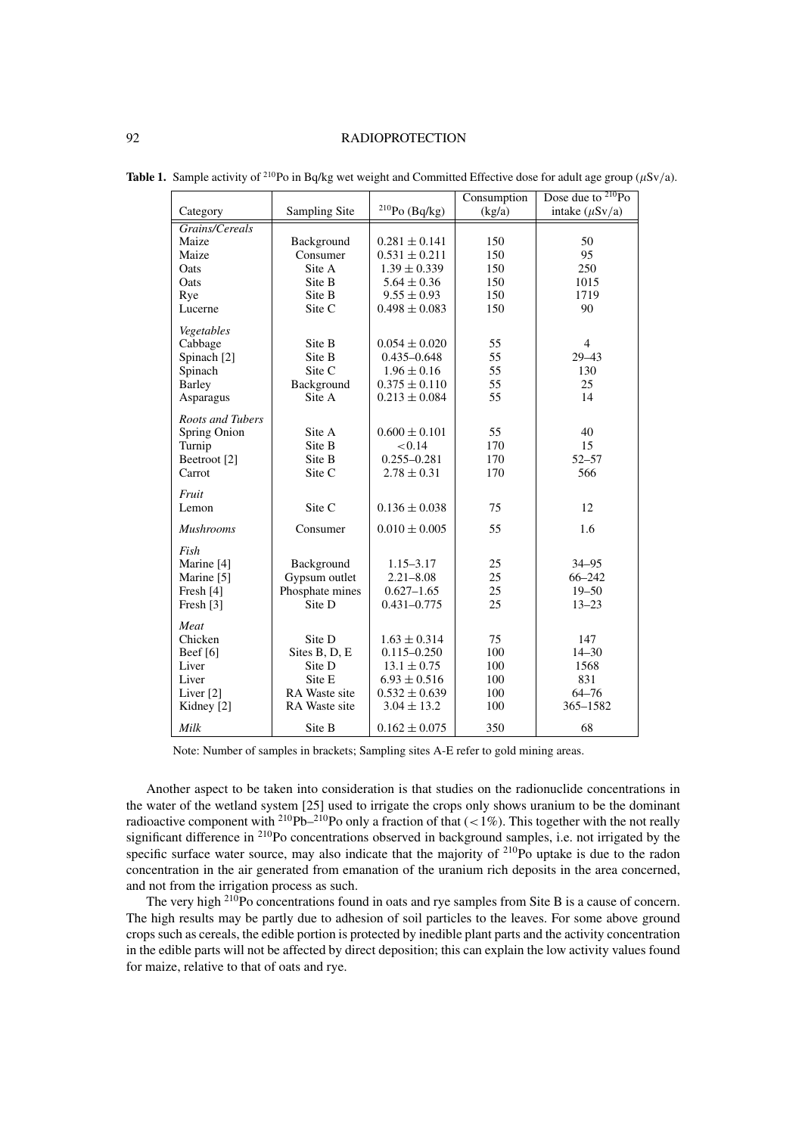# 92 RADIOPROTECTION

|                                   |                      |                   | Consumption | Dose due to $^{210}Po$ |
|-----------------------------------|----------------------|-------------------|-------------|------------------------|
| Category                          | Sampling Site        | $210PO$ (Bq/kg)   | (kg/a)      | intake $(\mu Sv/a)$    |
| Grains/Cereals                    |                      |                   |             |                        |
| Maize                             | Background           | $0.281 \pm 0.141$ | 150         | 50                     |
| Maize                             | Consumer             | $0.531 \pm 0.211$ | 150         | 95                     |
| Oats                              | Site A               | $1.39 \pm 0.339$  | 150         | 250                    |
| Oats                              | Site B               | $5.64 \pm 0.36$   | 150         | 1015                   |
| Rye                               | Site B               | $9.55 \pm 0.93$   | 150         | 1719                   |
| Lucerne                           | Site C               | $0.498 \pm 0.083$ | 150         | 90                     |
| Vegetables                        |                      |                   |             |                        |
| Cabbage                           | Site B               | $0.054 \pm 0.020$ | 55          | $\overline{4}$         |
| Spinach <sup>[2]</sup>            | Site B               | $0.435 - 0.648$   | 55          | $29 - 43$              |
| Spinach                           | Site C               | $1.96 \pm 0.16$   | 55          | 130                    |
| <b>Barley</b>                     | Background           | $0.375 \pm 0.110$ | 55          | 25                     |
| Asparagus                         | Site A               | $0.213 \pm 0.084$ | 55          | 14                     |
| Roots and Tubers                  |                      |                   |             |                        |
|                                   | Site A               | $0.600 \pm 0.101$ |             | 40                     |
| Spring Onion                      | Site B               | < 0.14            | 55<br>170   | 15                     |
| Turnip<br>Beetroot <sup>[2]</sup> | Site B               | $0.255 - 0.281$   | 170         | $52 - 57$              |
| Carrot                            | Site C               | $2.78 \pm 0.31$   | 170         | 566                    |
|                                   |                      |                   |             |                        |
| Fruit                             |                      |                   |             |                        |
| Lemon                             | Site C               | $0.136 \pm 0.038$ | 75          | 12                     |
| <b>Mushrooms</b>                  | Consumer             | $0.010 \pm 0.005$ | 55          | 1.6                    |
| Fish                              |                      |                   |             |                        |
| Marine [4]                        | Background           | $1.15 - 3.17$     | 25          | $34 - 95$              |
| Marine [5]                        | Gypsum outlet        | $2.21 - 8.08$     | 25          | $66 - 242$             |
| Fresh [4]                         | Phosphate mines      | $0.627 - 1.65$    | 25          | $19 - 50$              |
| Fresh [3]                         | Site D               | $0.431 - 0.775$   | 25          | $13 - 23$              |
| Meat                              |                      |                   |             |                        |
| Chicken                           | Site D               | $1.63 \pm 0.314$  | 75          | 147                    |
| Beef $[6]$                        | Sites B, D, E        | $0.115 - 0.250$   | 100         | $14 - 30$              |
| Liver                             | Site D               | $13.1 \pm 0.75$   | 100         | 1568                   |
| Liver                             | Site E               | $6.93 \pm 0.516$  | 100         | 831                    |
| Liver <sup>[2]</sup>              | <b>RA</b> Waste site | $0.532 \pm 0.639$ | 100         | $64 - 76$              |
| Kidney [2]                        | RA Waste site        | $3.04 \pm 13.2$   | 100         | 365-1582               |
|                                   |                      |                   |             |                        |
| Milk                              | Site B               | $0.162 \pm 0.075$ | 350         | 68                     |

**Table 1.** Sample activity of <sup>210</sup>Po in Bq/kg wet weight and Committed Effective dose for adult age group ( $\mu$ Sv/a).

Note: Number of samples in brackets; Sampling sites A-E refer to gold mining areas.

Another aspect to be taken into consideration is that studies on the radionuclide concentrations in the water of the wetland system [25] used to irrigate the crops only shows uranium to be the dominant radioactive component with <sup>210</sup>Pb<sup>-210</sup>Po only a fraction of that  $\left($  < 1%). This together with the not really significant difference in <sup>210</sup>Po concentrations observed in background samples, i.e. not irrigated by the specific surface water source, may also indicate that the majority of <sup>210</sup>Po uptake is due to the radon concentration in the air generated from emanation of the uranium rich deposits in the area concerned, and not from the irrigation process as such.

The very high <sup>210</sup>Po concentrations found in oats and rye samples from Site B is a cause of concern. The high results may be partly due to adhesion of soil particles to the leaves. For some above ground crops such as cereals, the edible portion is protected by inedible plant parts and the activity concentration in the edible parts will not be affected by direct deposition; this can explain the low activity values found for maize, relative to that of oats and rye.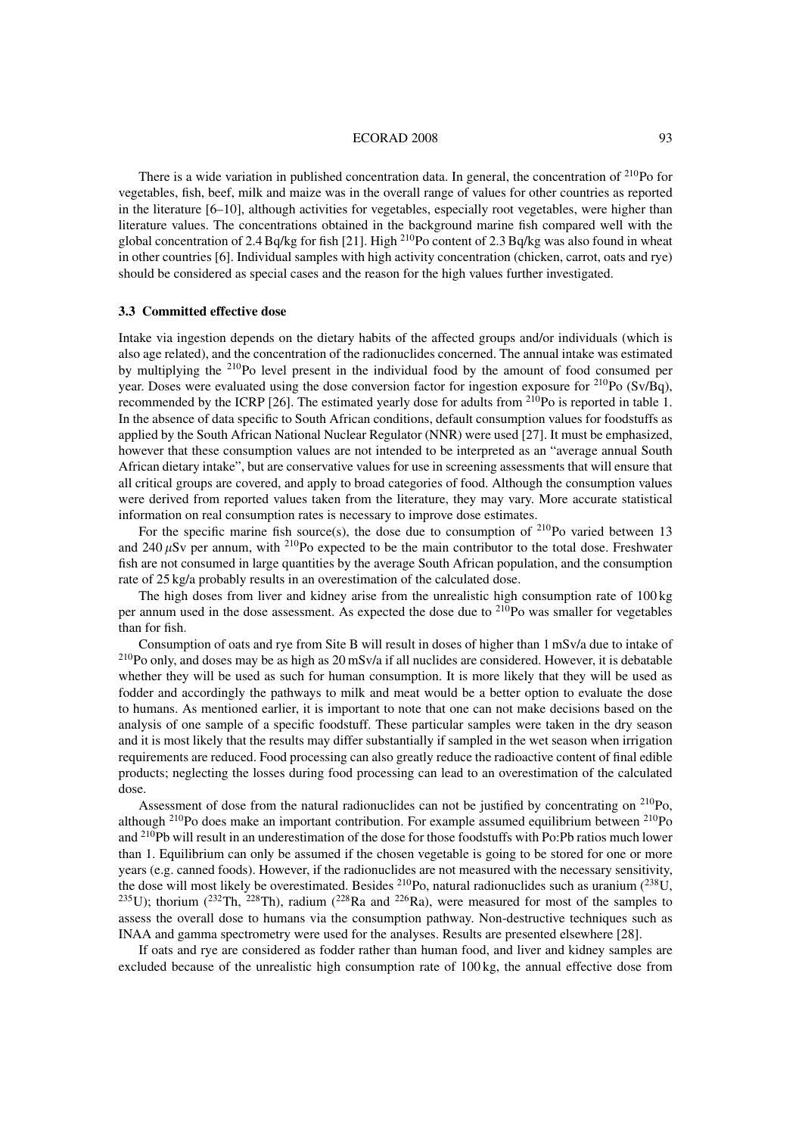#### ECORAD 2008 93

There is a wide variation in published concentration data. In general, the concentration of <sup>210</sup>Po for vegetables, fish, beef, milk and maize was in the overall range of values for other countries as reported in the literature [6–10], although activities for vegetables, especially root vegetables, were higher than literature values. The concentrations obtained in the background marine fish compared well with the global concentration of 2.4 Bq/kg for fish [21]. High <sup>210</sup>Po content of 2.3 Bq/kg was also found in wheat in other countries [6]. Individual samples with high activity concentration (chicken, carrot, oats and rye) should be considered as special cases and the reason for the high values further investigated.

#### **3.3 Committed effective dose**

Intake via ingestion depends on the dietary habits of the affected groups and/or individuals (which is also age related), and the concentration of the radionuclides concerned. The annual intake was estimated by multiplying the 210Po level present in the individual food by the amount of food consumed per year. Doses were evaluated using the dose conversion factor for ingestion exposure for  $^{210}Po$  (Sv/Bq), recommended by the ICRP [26]. The estimated yearly dose for adults from 210Po is reported in table 1. In the absence of data specific to South African conditions, default consumption values for foodstuffs as applied by the South African National Nuclear Regulator (NNR) were used [27]. It must be emphasized, however that these consumption values are not intended to be interpreted as an "average annual South African dietary intake", but are conservative values for use in screening assessments that will ensure that all critical groups are covered, and apply to broad categories of food. Although the consumption values were derived from reported values taken from the literature, they may vary. More accurate statistical information on real consumption rates is necessary to improve dose estimates.

For the specific marine fish source(s), the dose due to consumption of  $^{210}$ Po varied between 13 and 240  $\mu$ Sv per annum, with <sup>210</sup>Po expected to be the main contributor to the total dose. Freshwater fish are not consumed in large quantities by the average South African population, and the consumption rate of 25 kg/a probably results in an overestimation of the calculated dose.

The high doses from liver and kidney arise from the unrealistic high consumption rate of 100 kg per annum used in the dose assessment. As expected the dose due to  $^{210}$ Po was smaller for vegetables than for fish.

Consumption of oats and rye from Site B will result in doses of higher than 1 mSv/a due to intake of 210Po only, and doses may be as high as 20 mSv/a if all nuclides are considered. However, it is debatable whether they will be used as such for human consumption. It is more likely that they will be used as fodder and accordingly the pathways to milk and meat would be a better option to evaluate the dose to humans. As mentioned earlier, it is important to note that one can not make decisions based on the analysis of one sample of a specific foodstuff. These particular samples were taken in the dry season and it is most likely that the results may differ substantially if sampled in the wet season when irrigation requirements are reduced. Food processing can also greatly reduce the radioactive content of final edible products; neglecting the losses during food processing can lead to an overestimation of the calculated dose.

Assessment of dose from the natural radionuclides can not be justified by concentrating on <sup>210</sup>Po, although  $^{210}$ Po does make an important contribution. For example assumed equilibrium between  $^{210}$ Po and 210Pb will result in an underestimation of the dose for those foodstuffs with Po:Pb ratios much lower than 1. Equilibrium can only be assumed if the chosen vegetable is going to be stored for one or more years (e.g. canned foods). However, if the radionuclides are not measured with the necessary sensitivity, the dose will most likely be overestimated. Besides  $^{210}Po$ , natural radionuclides such as uranium  $(^{238}U$ , <sup>235</sup>U); thorium (<sup>232</sup>Th, <sup>228</sup>Th), radium (<sup>228</sup>Ra and <sup>226</sup>Ra), were measured for most of the samples to assess the overall dose to humans via the consumption pathway. Non-destructive techniques such as INAA and gamma spectrometry were used for the analyses. Results are presented elsewhere [28].

If oats and rye are considered as fodder rather than human food, and liver and kidney samples are excluded because of the unrealistic high consumption rate of 100 kg, the annual effective dose from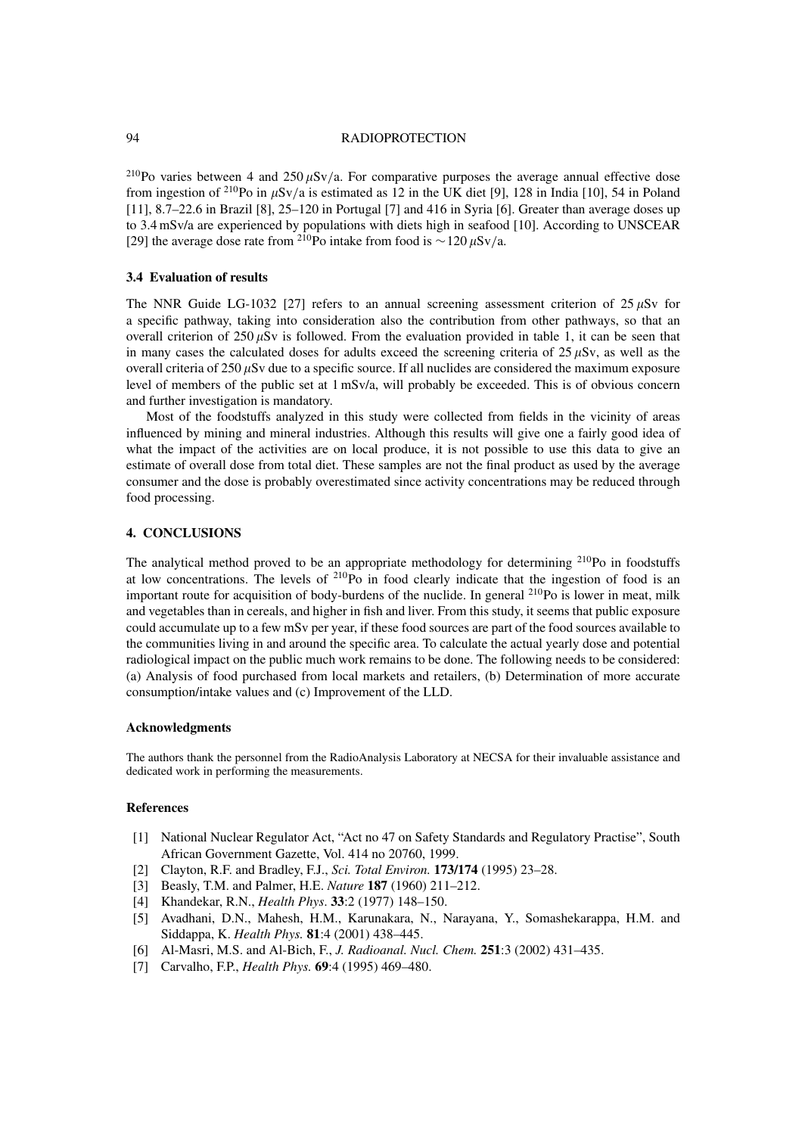#### 94 RADIOPROTECTION

<sup>210</sup>Po varies between 4 and 250  $\mu$ Sv/a. For comparative purposes the average annual effective dose from ingestion of <sup>210</sup>Po in  $\mu$ Sv/a is estimated as 12 in the UK diet [9], 128 in India [10], 54 in Poland [11], 8.7–22.6 in Brazil [8], 25–120 in Portugal [7] and 416 in Syria [6]. Greater than average doses up to 3.4 mSv/a are experienced by populations with diets high in seafood [10]. According to UNSCEAR [29] the average dose rate from <sup>210</sup>Po intake from food is ~120  $\mu$ Sv/a.

#### **3.4 Evaluation of results**

The NNR Guide LG-1032 [27] refers to an annual screening assessment criterion of  $25 \mu Sv$  for a specific pathway, taking into consideration also the contribution from other pathways, so that an overall criterion of  $250 \mu Sv$  is followed. From the evaluation provided in table 1, it can be seen that in many cases the calculated doses for adults exceed the screening criteria of  $25 \mu Sv$ , as well as the overall criteria of  $250 \mu Sv$  due to a specific source. If all nuclides are considered the maximum exposure level of members of the public set at 1 mSv/a, will probably be exceeded. This is of obvious concern and further investigation is mandatory.

Most of the foodstuffs analyzed in this study were collected from fields in the vicinity of areas influenced by mining and mineral industries. Although this results will give one a fairly good idea of what the impact of the activities are on local produce, it is not possible to use this data to give an estimate of overall dose from total diet. These samples are not the final product as used by the average consumer and the dose is probably overestimated since activity concentrations may be reduced through food processing.

## **4. CONCLUSIONS**

The analytical method proved to be an appropriate methodology for determining  $^{210}$ Po in foodstuffs at low concentrations. The levels of  $^{210}$ Po in food clearly indicate that the ingestion of food is an important route for acquisition of body-burdens of the nuclide. In general  $^{210}Po$  is lower in meat, milk and vegetables than in cereals, and higher in fish and liver. From this study, it seems that public exposure could accumulate up to a few mSv per year, if these food sources are part of the food sources available to the communities living in and around the specific area. To calculate the actual yearly dose and potential radiological impact on the public much work remains to be done. The following needs to be considered: (a) Analysis of food purchased from local markets and retailers, (b) Determination of more accurate consumption/intake values and (c) Improvement of the LLD.

#### **Acknowledgments**

The authors thank the personnel from the RadioAnalysis Laboratory at NECSA for their invaluable assistance and dedicated work in performing the measurements.

#### **References**

- [1] National Nuclear Regulator Act, "Act no 47 on Safety Standards and Regulatory Practise", South African Government Gazette, Vol. 414 no 20760, 1999.
- [2] Clayton, R.F. and Bradley, F.J., *Sci. Total Environ.* **173/174** (1995) 23–28.
- [3] Beasly, T.M. and Palmer, H.E. *Nature* **187** (1960) 211–212.
- [4] Khandekar, R.N., *Health Phys*. **33**:2 (1977) 148–150.
- [5] Avadhani, D.N., Mahesh, H.M., Karunakara, N., Narayana, Y., Somashekarappa, H.M. and Siddappa, K. *Health Phys.* **81**:4 (2001) 438–445.
- [6] Al-Masri, M.S. and Al-Bich, F., *J. Radioanal. Nucl. Chem.* **251**:3 (2002) 431–435.
- [7] Carvalho, F.P., *Health Phys.* **69**:4 (1995) 469–480.